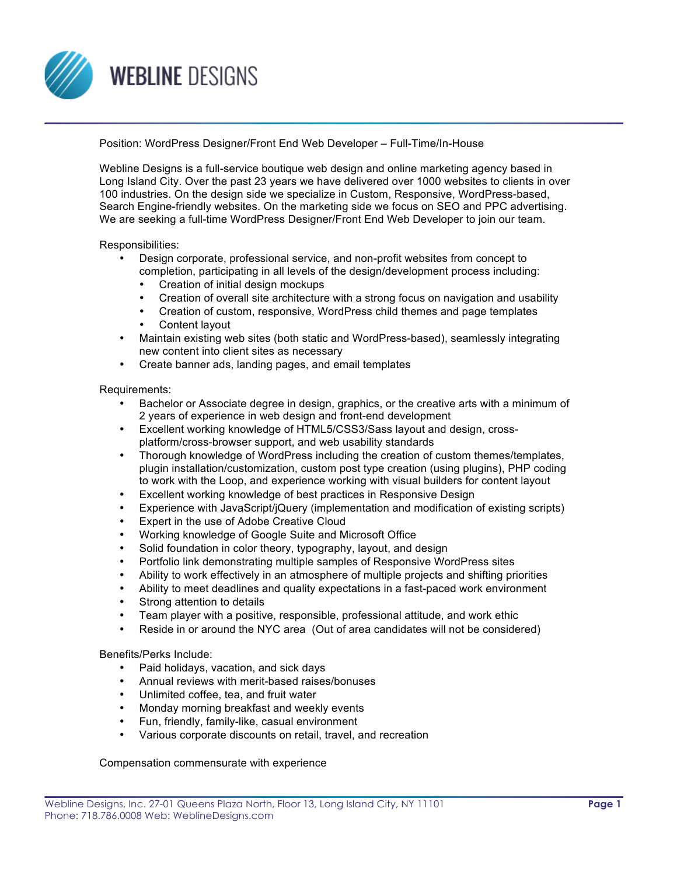

Position: WordPress Designer/Front End Web Developer – Full-Time/In-House

Webline Designs is a full-service boutique web design and online marketing agency based in Long Island City. Over the past 23 years we have delivered over 1000 websites to clients in over 100 industries. On the design side we specialize in Custom, Responsive, WordPress-based, Search Engine-friendly websites. On the marketing side we focus on SEO and PPC advertising. We are seeking a full-time WordPress Designer/Front End Web Developer to join our team.

Responsibilities:

- Design corporate, professional service, and non-profit websites from concept to completion, participating in all levels of the design/development process including:
	- Creation of initial design mockups
	- Creation of overall site architecture with a strong focus on navigation and usability
	- Creation of custom, responsive, WordPress child themes and page templates
	- Content layout
- Maintain existing web sites (both static and WordPress-based), seamlessly integrating new content into client sites as necessary
- Create banner ads, landing pages, and email templates

Requirements:

- Bachelor or Associate degree in design, graphics, or the creative arts with a minimum of 2 years of experience in web design and front-end development
- Excellent working knowledge of HTML5/CSS3/Sass layout and design, crossplatform/cross-browser support, and web usability standards
- Thorough knowledge of WordPress including the creation of custom themes/templates, plugin installation/customization, custom post type creation (using plugins), PHP coding to work with the Loop, and experience working with visual builders for content layout
- Excellent working knowledge of best practices in Responsive Design
- Experience with JavaScript/jQuery (implementation and modification of existing scripts)
- Expert in the use of Adobe Creative Cloud
- Working knowledge of Google Suite and Microsoft Office
- Solid foundation in color theory, typography, layout, and design
- Portfolio link demonstrating multiple samples of Responsive WordPress sites
- Ability to work effectively in an atmosphere of multiple projects and shifting priorities
- Ability to meet deadlines and quality expectations in a fast-paced work environment
- Strong attention to details
- Team player with a positive, responsible, professional attitude, and work ethic
- Reside in or around the NYC area (Out of area candidates will not be considered)

Benefits/Perks Include:

- Paid holidays, vacation, and sick days
- Annual reviews with merit-based raises/bonuses
- Unlimited coffee, tea, and fruit water
- Monday morning breakfast and weekly events
- Fun, friendly, family-like, casual environment
- Various corporate discounts on retail, travel, and recreation

Compensation commensurate with experience